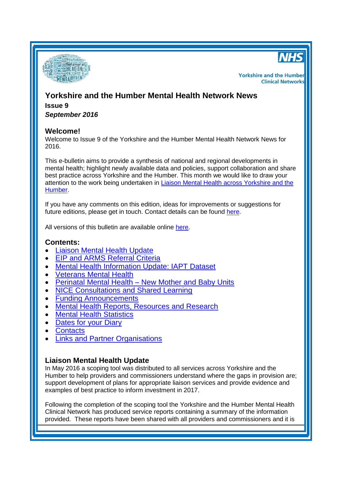



**Yorkshire and the Humber Clinical Networks** 

# **Yorkshire and the Humber Mental Health Network News Issue 9**

*September 2016*

## **Welcome!**

Welcome to Issue 9 of the Yorkshire and the Humber Mental Health Network News for 2016.

This e-bulletin aims to provide a synthesis of national and regional developments in mental health; highlight newly available data and policies, support collaboration and share best practice across Yorkshire and the Humber. This month we would like to draw your attention to the work being undertaken in Liaison Mental Health [across Yorkshire and the](#page-0-0)  [Humber.](#page-0-0)

If you have any comments on this edition, ideas for improvements or suggestions for future editions, please get in touch. Contact details can be found [here.](#page-5-0)

All versions of this bulletin are available online [here.](http://www.yhscn.nhs.uk/mental-health-clinic/mental-health-network/MH-documents-and-links.php)

## **Contents:**

- [Liaison Mental Health Update](#page-0-0)
- [EIP and ARMS Referral Criteria](#page-1-0)
- [Mental Health Information Update: IAPT Dataset](#page-1-1)
- [Veterans Mental Health](#page-1-2)
- Perinatal Mental Health [New Mother and Baby Units](#page-2-0)
- [NICE Consultations and Shared Learning](#page-2-0)
- [Funding Announcements](#page-2-1)
- [Mental Health Reports, Resources](#page-2-1) and Research
- [Mental Health Statistics](#page-4-0)
- [Dates for your](#page-4-1) Diary
- [Contacts](#page-5-0)
- [Links and Partner Organisations](#page-5-1)

## <span id="page-0-0"></span>**Liaison Mental Health Update**

In May 2016 a scoping tool was distributed to all services across Yorkshire and the Humber to help providers and commissioners understand where the gaps in provision are; support development of plans for appropriate liaison services and provide evidence and examples of best practice to inform investment in 2017.

Following the completion of the scoping tool the Yorkshire and the Humber Mental Health Clinical Network has produced service reports containing a summary of the information provided. These reports have been shared with all providers and commissioners and it is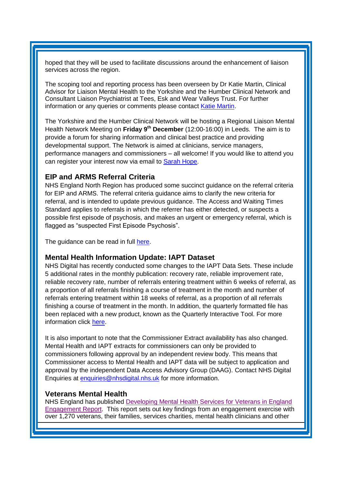hoped that they will be used to facilitate discussions around the enhancement of liaison services across the region.

The scoping tool and reporting process has been overseen by Dr Katie Martin, Clinical Advisor for Liaison Mental Health to the Yorkshire and the Humber Clinical Network and Consultant Liaison Psychiatrist at Tees, Esk and Wear Valleys Trust. For further information or any queries or comments please contact [Katie Martin.](mailto:katherine.martin1@nhs.net)

The Yorkshire and the Humber Clinical Network will be hosting a Regional Liaison Mental Health Network Meeting on **Friday 9th December** (12:00-16:00) in Leeds. The aim is to provide a forum for sharing information and clinical best practice and providing developmental support. The Network is aimed at clinicians, service managers, performance managers and commissioners – all welcome! If you would like to attend you can register your interest now via email to [Sarah Hope.](mailto:sarahhope2@nhs.net)

## <span id="page-1-0"></span>**EIP and ARMS Referral Criteria**

NHS England North Region has produced some succinct guidance on the referral criteria for EIP and ARMS. The referral criteria guidance aims to clarify the new criteria for referral, and is intended to update previous guidance. The Access and Waiting Times Standard applies to referrals in which the referrer has either detected, or suspects a possible first episode of psychosis, and makes an urgent or emergency referral, which is flagged as "suspected First Episode Psychosis".

The guidance can be read in full [here.](http://www.yhscn.nhs.uk/media/PDFs/mhdn/Mental%20Health/Guidance%20clarifying%20EIP%20and%20ARMS%20referral%20criteria_20160217.pdf)

## <span id="page-1-1"></span>**Mental Health Information Update: IAPT Dataset**

NHS Digital has recently conducted some changes to the IAPT Data Sets. These include 5 additional rates in the monthly publication: recovery rate, reliable improvement rate, reliable recovery rate, number of referrals entering treatment within 6 weeks of referral, as a proportion of all referrals finishing a course of treatment in the month and number of referrals entering treatment within 18 weeks of referral, as a proportion of all referrals finishing a course of treatment in the month. In addition, the quarterly formatted file has been replaced with a new product, known as the Quarterly Interactive Tool. For more information click [here.](http://digital.nhs.uk/search?q=iapt&s=s)

It is also important to note that the Commissioner Extract availability has also changed. Mental Health and IAPT extracts for commissioners can only be provided to commissioners following approval by an independent review body. This means that Commissioner access to Mental Health and IAPT data will be subject to application and approval by the independent Data Access Advisory Group (DAAG). Contact NHS Digital Enquiries at [enquiries@nhsdigital.nhs.uk](mailto:enquiries@nhsdigital.nhs.uk) for more information.

#### <span id="page-1-2"></span>**Veterans Mental Health**

NHS England has published [Developing Mental Health Services for Veterans in England](https://www.england.nhs.uk/2016/09/armed-forces-veterans-mh/)  [Engagement Report.](https://www.england.nhs.uk/2016/09/armed-forces-veterans-mh/) This report sets out key findings from an engagement exercise with over 1,270 veterans, their families, services charities, mental health clinicians and other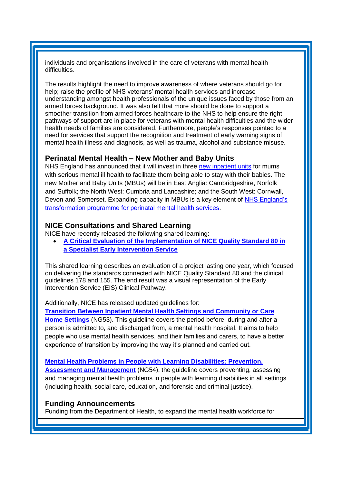individuals and organisations involved in the care of veterans with mental health difficulties.

The results highlight the need to improve awareness of where veterans should go for help; raise the profile of NHS veterans' mental health services and increase understanding amongst health professionals of the unique issues faced by those from an armed forces background. It was also felt that more should be done to support a smoother transition from armed forces healthcare to the NHS to help ensure the right pathways of support are in place for veterans with mental health difficulties and the wider health needs of families are considered. Furthermore, people's responses pointed to a need for services that support the recognition and treatment of early warning signs of mental health illness and diagnosis, as well as trauma, alcohol and substance misuse.

## <span id="page-2-0"></span>**Perinatal Mental Health – New Mother and Baby Units**

NHS England has announced that it will invest in three [new inpatient units](https://www.england.nhs.uk/mentalhealth/2016/09/23/mums-with-mental-ill-health/) for mums with serious mental ill health to facilitate them being able to stay with their babies. The new Mother and Baby Units (MBUs) will be in East Anglia: Cambridgeshire, Norfolk and Suffolk; the North West: Cumbria and Lancashire; and the South West: Cornwall, Devon and Somerset. Expanding capacity in MBUs is a key element of [NHS England's](http://links.nhs.mkt5643.com/ctt?kn=11&ms=NTI0MTE5MjcS1&r=OTQyMzUxODIxMzQS1&b=0&j=MTAwNDgyMzkxOAS2&mt=1&rt=0)  [transformation programme for perinatal mental health services.](http://links.nhs.mkt5643.com/ctt?kn=11&ms=NTI0MTE5MjcS1&r=OTQyMzUxODIxMzQS1&b=0&j=MTAwNDgyMzkxOAS2&mt=1&rt=0)

## **NICE Consultations and Shared Learning**

NICE have recently released the following shared learning:

 **[A Critical Evaluation of the Implementation of NICE Quality Standard 80 in](https://www.nice.org.uk/sharedlearning/a-critical-evaluation-of-the-implementation-of-nice-quality-standard-80-in-a-specialist-early-intervention-service)  [a Specialist Early Intervention Service](https://www.nice.org.uk/sharedlearning/a-critical-evaluation-of-the-implementation-of-nice-quality-standard-80-in-a-specialist-early-intervention-service)**

This shared learning describes an evaluation of a project lasting one year, which focused on delivering the standards connected with NICE Quality Standard 80 and the clinical guidelines 178 and 155. The end result was a visual representation of the Early Intervention Service (EIS) Clinical Pathway.

Additionally, NICE has released updated guidelines for:

**[Transition Between Inpatient Mental Health Settings and Community or Care](https://www.nice.org.uk/guidance/NG53)  [Home Settings](https://www.nice.org.uk/guidance/NG53)** (NG53). This guideline covers the period before, during and after a person is admitted to, and discharged from, a mental health hospital. It aims to help people who use mental health services, and their families and carers, to have a better experience of transition by improving the way it's planned and carried out.

#### **[Mental Health Problems in People with Learning Disabilities: Prevention,](https://www.nice.org.uk/guidance/ng54)**

**[Assessment and Management](https://www.nice.org.uk/guidance/ng54)** (NG54), the guideline covers preventing, assessing and managing mental health problems in people with learning disabilities in all settings (including health, social care, education, and forensic and criminal justice).

#### <span id="page-2-1"></span>**Funding Announcements**

Funding from the Department of Health, to expand the mental health workforce for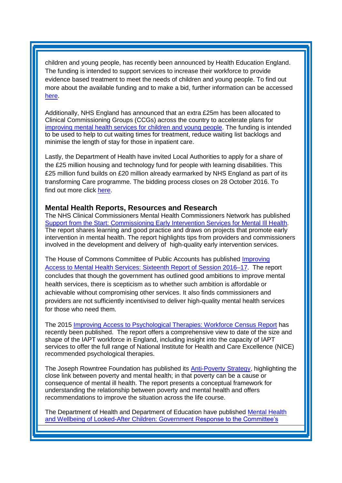children and young people, has recently been announced by Health Education England. The funding is intended to support services to increase their workforce to provide evidence based treatment to meet the needs of children and young people. To find out more about the available funding and to make a bid, further information can be accessed [here.](https://www.hee.nhs.uk/our-work/person-centred-care/mental-health/children-adolescent-mental-health-services-camhs-transformation/expanding-children-young-people-mental)

Additionally, NHS England has announced that an extra £25m has been allocated to Clinical Commissioning Groups (CCGs) across the country to accelerate plans for [improving mental health services for children and young people.](https://www.england.nhs.uk/2016/09/mh-cyp-ccgs/) The funding is intended to be used to help to cut waiting times for treatment, reduce waiting list backlogs and minimise the length of stay for those in inpatient care.

Lastly, the Department of Health have invited Local Authorities to apply for a share of the £25 million housing and technology fund for people with learning disabilities. This £25 million fund builds on £20 million already earmarked by NHS England as part of its transforming Care programme. The bidding process closes on 28 October 2016. To find out more click [here.](https://www.gov.uk/government/news/help-for-people-with-learning-disabilities-to-live-independently)

### **Mental Health Reports, Resources and Research**

The NHS Clinical Commissioners Mental Health Commissioners Network has published [Support from the Start: Commissioning Early Intervention Services for Mental Ill Health.](http://www.nhscc.org/latest-news/support-from-start/) The report shares learning and good practice and draws on projects that promote early intervention in mental health. The report highlights tips from providers and commissioners involved in the development and delivery of high-quality early intervention services.

The House of Commons Committee of Public Accounts has published [Improving](http://www.parliament.uk/business/committees/committees-a-z/commons-select/public-accounts-committee/news-parliament-2015/improving-access-mental-health-services-report-published-16-17/)  [Access to Mental Health Services: Sixteenth Report of Session 2016–17.](http://www.parliament.uk/business/committees/committees-a-z/commons-select/public-accounts-committee/news-parliament-2015/improving-access-mental-health-services-report-published-16-17/) The report concludes that though the government has outlined good ambitions to improve mental health services, there is scepticism as to whether such ambition is affordable or achievable without compromising other services. It also finds commissioners and providers are not sufficiently incentivised to deliver high-quality mental health services for those who need them.

The 2015 [Improving Access to Psychological Therapies: Workforce Census Report](https://www.networks.nhs.uk/news/improving-access-to-psychological-therapies-workforce-census-report) has recently been published. The report offers a comprehensive view to date of the size and shape of the IAPT workforce in England, including insight into the capacity of IAPT services to offer the full range of National Institute for Health and Care Excellence (NICE) recommended psychological therapies.

The Joseph Rowntree Foundation has published its [Anti-Poverty Strategy,](http://www.mentalhealth.org.uk/publications/poverty-and-mental-health) highlighting the close link between poverty and mental health; in that poverty can be a cause or consequence of mental ill health. The report presents a conceptual framework for understanding the relationship between poverty and mental health and offers recommendations to improve the situation across the life course.

The Department of Health and Department of Education have published [Mental Health](https://www.gov.uk/government/publications/mental-health-and-wellbeing-of-looked-after-children-response)  [and Wellbeing of Looked-After Children: Government Response to the Committee's](https://www.gov.uk/government/publications/mental-health-and-wellbeing-of-looked-after-children-response)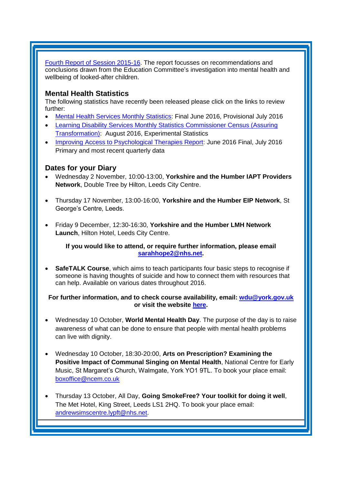[Fourth Report of Session 2015-16.](https://www.gov.uk/government/publications/mental-health-and-wellbeing-of-looked-after-children-response) The report focusses on recommendations and conclusions drawn from the Education Committee's investigation into mental health and wellbeing of looked-after children.

## <span id="page-4-0"></span>**Mental Health Statistics**

The fol[lowing statistics have recently been released please click on the links to review](http://www.hscic.gov.uk/catalogue/PUB20526)  further:

- [Mental Health Services Monthly Statistics:](http://www.hscic.gov.uk/catalogue/PUB20526) Final June 2016, Provisional July 2016
- [Learning Disability Services Monthly Statistics Commissioner Census \(Assuring](https://www.gov.uk/government/statistics/learning-disability-services-monthly-statistics-commissioner-census-assuring-transformation-aug-2016-experimental-statistics)  [Transformation\):](https://www.gov.uk/government/statistics/learning-disability-services-monthly-statistics-commissioner-census-assuring-transformation-aug-2016-experimental-statistics) August 2016, Experimental Statistics
- [Improving Access to Psychological Therapies Report:](http://www.digital.nhs.uk/catalogue/PUB21575) June 2016 Final, July 2016 [Primary and most recent quarterly data](http://www.hscic.gov.uk/catalogue/PUB20526)

## <span id="page-4-1"></span>**Dates for your Diary**

- Wednesday 2 November, 10:00-13:00, **Yorkshire and the Humber IAPT Providers Network**, Double Tree by Hilton, Leeds City Centre.
- Thursday 17 November, 13:00-16:00, **Yorkshire and the Humber EIP Network**, St George's Centre, Leeds.
- Friday 9 December, 12:30-16:30, **Yorkshire and the Humber LMH Network Launch**, Hilton Hotel, Leeds City Centre.

**If you would like to attend, or require further information, please email [sarahhope2@nhs.net.](mailto:sarahhope2@nhs.net)**

 **SafeTALK Course**, which aims to teach participants four basic steps to recognise if someone is having thoughts of suicide and how to connect them with resources that can help. Available on various dates throughout 2016.

### **For further information, and to check course availability, email: [wdu@york.gov.uk](mailto:wdu@york.gov.uk) or visit the website [here.](http://www.yorkworkforcedevelopment.org.uk/)**

- Wednesday 10 October, **World Mental Health Day**. The purpose of the day is to raise awareness of what can be done to ensure that people with mental health problems can live with dignity.
- Wednesday 10 October, 18:30-20:00, **Arts on Prescription? Examining the Positive Impact of Communal Singing on Mental Health**, National Centre for Early Music, St Margaret's Church, Walmgate, York YO1 9TL. To book your place email: [boxoffice@ncem.co.uk](mailto:boxoffice@ncem.co.uk)
- Thursday 13 October, All Day, **Going SmokeFree? Your toolkit for doing it well**, The Met Hotel, King Street, Leeds LS1 2HQ. To book your place email: [andrewsimscentre.lypft@nhs.net.](mailto:andrewsimscentre.lypft@nhs.net)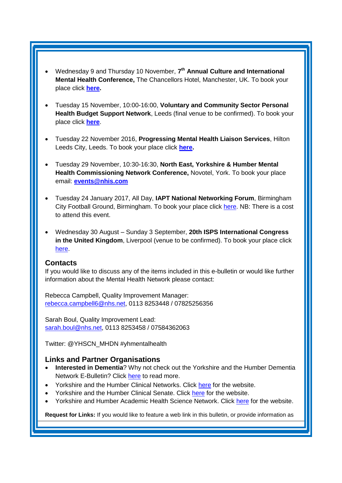- Wednesday 9 and Thursday 10 November, **7 th Annual Culture and International Mental Health Conference,** The Chancellors Hotel, Manchester, UK. To book your place click **[here.](https://www.eventbrite.co.uk/e/7th-annual-culture-and-international-mental-health-conference-tickets-24232703669?aff=es2)**
- Tuesday 15 November, 10:00-16:00, **Voluntary and Community Sector Personal Health Budget Support Network**, Leeds (final venue to be confirmed). To book your place click **[here](https://www.eventbrite.co.uk/e/vcse-personal-health-budget-support-network-north-tickets-26783109000)**.
- Tuesday 22 November 2016, **Progressing Mental Health Liaison Services**, Hilton Leeds City, Leeds. To book your place click **[here.](http://www.sbk-healthcare.co.uk/home/title/2163/progressing-mental-health-liaison-services/?utm_source=SBK%20Healthcare&utm_medium=email&utm_campaign=7340689_16107MH%201st%20email)**
- Tuesday 29 November, 10:30-16:30, **North East, Yorkshire & Humber Mental Health Commissioning Network Conference,** Novotel, York. To book your place email: **[events@nhis.com](mailto:events@nhis.com)**
- Tuesday 24 January 2017, All Day, **IAPT National Networking Forum**, Birmingham City Football Ground, Birmingham. To book your place click [here.](http://www.iapt-nnf.co.uk/booking/index/57/?utm_source=SBK%20Healthcare&utm_medium=email&utm_campaign=7571577_1701PT%201st%20email&dm_i=1SB0,4IA9L,NDG0NR,GO71G,1) NB: There is a cost to attend this event.
- Wednesday 30 August Sunday 3 September, **20th ISPS International Congress in the United Kingdom**, Liverpool (venue to be confirmed). To book your place click [here.](http://www.isps2017uk.org/)

#### <span id="page-5-0"></span>**Contacts**

If you would like to discuss any of the items included in this e-bulletin or would like further information about the Mental Health Network please contact:

Rebecca Campbell, Quality Improvement Manager: [rebecca.campbell6@nhs.net,](mailto:rebecca.campbell6@nhs.net) 0113 8253448 / 07825256356

Sarah Boul, Quality Improvement Lead: [sarah.boul@nhs.net,](mailto:sarah.boul@nhs.net) 0113 8253458 / 07584362063

Twitter: @YHSCN\_MHDN #yhmentalhealth

## <span id="page-5-1"></span>**Links and Partner Organisations**

- **Interested in Dementia**? Why not check out the Yorkshire and the Humber Dementia Network E-Bulletin? Click [here](http://www.yhscn.nhs.uk/mental-health-clinic/Dementia/YHSCNDementiaBulletin.php) to read more.
- Yorkshire and the Humber Clinical Networks. Click [here](http://www.yhscn.nhs.uk/index.php) for the website.
- Yorkshire and the Humber Clinical Senate. Click [here](http://www.yhsenate.nhs.uk/index.php) for the website.
- Yorkshire and Humber Academic Health Science Network. Click [here](http://www.yhahsn.org.uk/) for the website.

**Request for Links:** If you would like to feature a web link in this bulletin, or provide information as